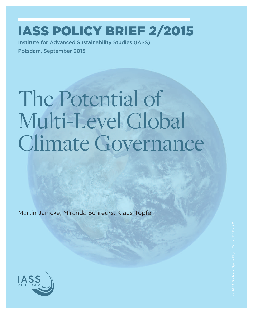# IASS Policy Brief 2/2015

Institute for Advanced Sustainability Studies (IASS) Potsdam, September 2015

# The Potential of Multi-Level Global Climate Governance

Martin Jänicke, Miranda Schreurs, Klaus Töpfer

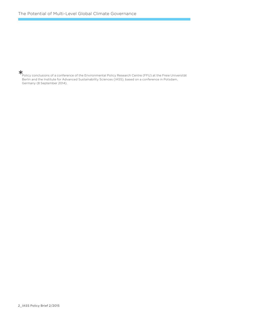Policy conclusions of a conference of the Environmental Policy Research Centre (FFU) at the Freie Universität  $\color{red}\bigstar$  Policy conclusions of a conference of the Environmental Policy Research Centre (FFU) at the Freie Unive<br>Berlin and the Institute for Advanced Sustainability Sciences (IASS), based on a conference in Potsdam, Germany (8 September 2014).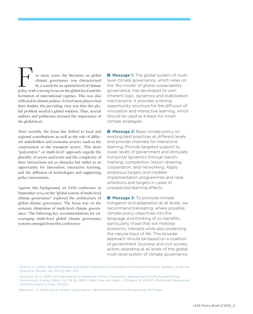or many years, the literature on global climate governance was characterised by a search for an optimal level of climate or many years, the literature on global<br>climate governance was characterised<br>by a search for an optimal level of climate<br>policy with a strong focus on the global level and the formation of international regimes. This was also reflected in climate politics. Even if many players had their doubts, the prevailing view was that this global problem needed a global solution. Thus, several authors and politicians stressed the importance of the global level.

More recently, the focus has shifted to local and regional contributions as well as the role of different stakeholders and economic sectors (such as the construction or the transport sector). This more "polycentric"<sup>1</sup> or multi-level<sup>2</sup> approach regards the plurality of actors and levels and the complexity of their interactions not as obstacles but rather as an opportunity for innovation, interactive learning, and the diffusion of technologies and supporting policy instruments.

Against this background, an IASS conference in September 2014 on the "global system of multi-level climate governance" explored the architecture of global climate governance. The focus was on the systemic dimension of multi-level climate governance.3 The following key recommendations for encouraging multi-level global climate governance systems emerged from this conference:

**Message 1:** The global system of multilevel climate governance, which relies on the 'Rio model' of global sustainability governance, has developed its own inherent logic, dynamics and stabilisation mechanisms. It provides a strong opportunity structure for the diffusion of innovation and interactive learning, which should be used as a basis for smart climate strategies.

**Message 2: Base climate policy on** existing best practices at different levels and provide channels for interactive learning. Provide targeted support to lower levels of government and stimulate horizontal dynamics through benchmarking, competition, lesson-drawing, cooperation, and networking. Apply ambitious targets and credible implementation programmes and raise ambitions and targets in cases of unexpected learning effects.

**Message 3:** To promote climate mitigation and adaptation at all levels, we recommend translating, where possible, climate policy objectives into the language and thinking of co-benefits, particularly those that will mobilise economic interests while also protecting the natural basis of life. This broader approach should be based on a coalition of government, business and civil society actors operating at all levels of the global multi-level system of climate governance.

1 Ostrom, E. (2010): Beyond Markets and States: Polycentric Governance of Complex Economic Systems, American Economic Review, vol. 100(3), 641–672.

- 2 Sovacool, B. K. (2011): An International Comparison of Four Polycentric Approaches to Climate and Energy Governance, Energy Policy, Vol. 39 (6), 3832–3844. See also: Bach, I./Flinders, M. (2004): *Multi-level Governance*, Oxford University Press, Oxford.
- 3 Biermann, F. (2014): Earth System Governance World Politics in the Anthropocene, MIT Press.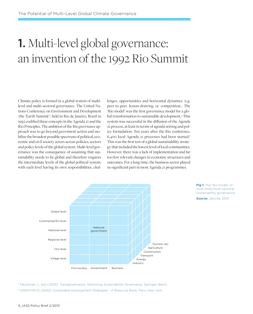### 1. Multi-level global governance: an invention of the 1992 Rio Summit

Climate policy is formed in a global system of multilevel and multi-sectoral governance. The United Nations Conference on Environment and Development (the 'Earth Summit') held in Rio de Janeiro, Brazil in 1992 codified these concepts in the Agenda 21 and the Rio Principles. The ambition of the Rio *governance* approach was to go beyond *government* action and mobilise the broadest possible spectrum of political, economic and civil society actors across policies, sectors and policy levels of the global system. Multi-level governance was the consequence of assuming that sustainability needs to be global and therefore requires the intermediate levels of the global political system, with each level having its own responsibilities, challenges, opportunities and horizontal dynamics (e.g. peer-to-peer lesson-drawing or competition). The 'Rio model' was the first governance model for a global transformation to sustainable development.4 This system was successful in the diffusion of the Agenda 21 process, at least in terms of agenda setting and policy formulation. Ten years after the Rio conference, 6,400 local Agenda 21 processes had been started.5 This was the first test of a global sustainability strategy that included the lowest level of local communities. However, there was a lack of implementation and far too few relevant changes in economic structures and outcomes. For a long time, the business sector played no significant part in most Agenda 21 programmes.





**Source:** Jänicke, 2013

4 Meuleman, L. (ed.) (2013): *Transgovernance. Advancing Sustainability Governance*, Springer, Berlin. 5 UNDP/OECD (2002): Sustainable Development Strategies – A Resource Book, Paris, New York.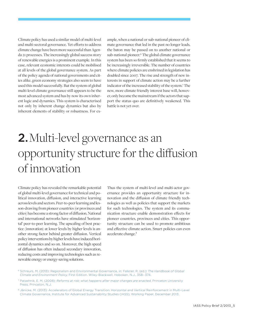Climate policy has used a similar model of multi-level and multi-sectoral governance. Yet efforts to address climate change have been more successful than Agenda 21 processes. The increasingly global success story of renewable energies is a prominent example. In this case, relevant economic interests could be mobilised at all levels of the global governance system. As part of the policy agenda of national governments and cities alike, green economy strategies also seem to have used this model successfully. But the system of global multi-level climate governance still appears to be the most advanced system and has by now its own inherent logic and dynamics. This system is characterised not only by inherent change dynamics but also by inherent elements of stability or robustness. For example, when a national or sub-national pioneer of climate governance that led in the past no longer leads, the baton may be passed on to another national or sub-national pioneer.<sup>6</sup> The global climate governance system has been so firmly established that it seems to be increasingly irreversible. The number of countries where climate policies are enshrined in legislation has doubled since 2007. The rise and strength of new interests in support of climate action may be a further indicator of the increased stability of the system.7 The new, more climate friendly interest base will, however, only become the mainstream if the actors that support the status quo are definitively weakened. This battle is not yet over.

### 2.Multi-level governance as an opportunity structure for the diffusion of innovation

Climate policy has revealed the remarkable potential of global multi-level governance for technical and political innovation, diffusion, and interactive learning across levels and sectors. Peer-to-peer learning and lesson-drawing from pioneer countries (or provinces and cities) has become a strong factor of diffusion. National and international networks have stimulated 'horizontal' peer-to-peer learning. The upscaling of best practice (innovation) at lower levels by higher levels is another strong factor behind greater diffusion. Vertical policy interventions by higher levels have induced horizontal dynamics and so on. Moreover, the high speed of diffusion has often induced secondary innovation, reducing costs and improving technologies such as renewable energy or energy-saving solutions.

Thus the system of multi-level and multi-actor governance provides an opportunity structure for innovation and the diffusion of climate friendly technologies as well as policies that support the markets for such technologies. The system and its communication structure enable demonstration effects for pioneer countries, provinces and cities. This opportunity structure can be used to promote ambitious and effective climate action. Smart policies can even accelerate change.<sup>8</sup>

6 Schreurs, M. (2013): Regionalism and Environmental Governance, in: Falkner, R. (ed.): *The Handbook of Global Climate and Environment Policy*, First Edition. Wiley-Blackwell, Hoboken, N.J., 358–374.

- 7 Patashnik, E. M. (2008): *Reforms at risk: what happens after major changes are enacted,* Princeton University Press, Princeton, N.J.
- 8 Jänicke, M. (2013): Accelerators of Global Energy Transition: Horizontal and Vertical Reinforcement in Multi-Level Climate Governance, Institute for Advanced Sustainability Studies (IASS), Working Paper, December 2013.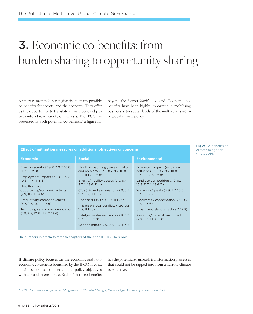## 3. Economic co-benefits: from burden sharing to opportunity sharing

A smart climate policy can give rise to many possible co-benefits for society and the economy. They offer us the opportunity to translate climate policy objectives into a broad variety of interests. The IPCC has presented 18 such potential co-benefits,9 a figure far beyond the former '*double* dividend'. Economic cobenefits have been highly important in mobilising business actors at all levels of the multi-level system of global climate policy.

| <b>Effect of mitigation measures on additional objectives or concerns</b>    |                                                                                   |                                                                                 |
|------------------------------------------------------------------------------|-----------------------------------------------------------------------------------|---------------------------------------------------------------------------------|
| <b>Economic</b>                                                              | <b>Social</b>                                                                     | <b>Environmental</b>                                                            |
| Energy security (7.9, 8.7, 9.7, 10.8,<br>11.13.6, 12.8                       | Health impact (e.g., via air quality<br>and noise) (5.7, 7.9, 8.7, 9.7, 10.8,     | Ecosystem impact (e.g., via air<br>pollution) (7.9, 8.7, 9.7, 10.8,             |
| Employment Impact (7.9, 8.7, 9.7,<br>10.8, 11.7, 11.13.6)                    | 11.7, 11.13.6, 12.8)<br>Energy/mobility access (7.9, 8.7,                         | 11.7, 11.13.6/7, 12.8<br>Land use competition (7.9, 8.7,                        |
| <b>New Business</b><br>opportunity/economic activity<br>(7.9, 11.7, 11.13.6) | 9.7, 11.13.6, 12.4<br>(Fuel) Poverty alleviation (7.9, 8.7,<br>9.7, 11.7, 11.13.6 | 10.8, 11.7, 11.13.6 / 7)<br>Water use/quality (7.9, 9.7, 10.8,<br>11.7, 11.13.6 |
| Productivity/competitiveness<br>(8.7, 9.7, 10.9, 11.13.6)                    | Food security (7.9, 11.7, 11.13.6/7)<br>Impact on local conflicts (7.9, 10.8,     | Biodiversity conservation (7.9, 9.7,<br>11.7, 11.13.6                           |
| Technological spillover/innovation<br>(7.9, 8.7, 10.8, 11.3, 11.13.6)        | 11.7, 11.13.6                                                                     | Urban heat island effect (9.7, 12.8)                                            |
|                                                                              | Safety/disaster resilience (7.9, 8.7,<br>9.7, 10.8, 12.8                          | Resource/material use impact<br>(7.9, 8.7, 10.8, 12.8)                          |
|                                                                              | Gender impact (7.9, 9.7, 11.7, 11.13.6)                                           |                                                                                 |

**Fig 2:** Co-benefits of climate mitigation (IPCC 2014)

The numbers in brackets refer to chapters of the cited IPCC 2014 report.

If climate policy focuses on the economic and noneconomic co-benefits identified by the IPCC in 2014, it will be able to connect climate policy objectives with a broad interest base. Each of those co-benefits

has the potential to unleash transformation processes that could not be tapped into from a narrow climate perspective.

9 IPCC: *Climate Change 2014: Mitigation of Climate Change*, Cambridge University Press, New York.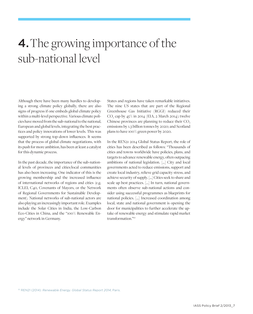### 4.The growing importance of the sub-national level

Although there have been many hurdles to developing a strong climate policy globally, there are also signs of progress if one embeds global climate policy within a multi-level perspective. Various climate policies have moved from the sub-national to the national, European and global levels, integrating the best practices and policy innovations of lower levels. This was supported by strong top-down influences. It seems that the process of global climate negotiations, with its push for more ambition, has been at least a catalyst for this dynamic process.

In the past decade, the importance of the sub-national levels of provinces and cities/local communities has also been increasing. One indicator of this is the growing membership and the increased influence of international networks of regions and cities (e.g. ICLEI, C40, Covenants of Mayors, or the Network of Regional Governments for Sustainable Development). National networks of sub-national actors are also playing an increasingly important role. Examples include the Solar Cities in India, the Low-Carbon Eco-Cities in China, and the "100 % Renewable Energy" network in Germany.

States and regions have taken remarkable initiatives. The nine US states that are part of the Regional Greenhouse Gas Initiative (RGGI) reduced their CO2 cap by 45 % in 2014 (EIA, 2 March 2014); twelve Chinese provinces are planning to reduce their CO<sub>2</sub> emissions by 1.3 billion tonnes by 2020; and Scotland plans to have 100 % green power by 2020.

In the REN21 2014 Global Status Report, the role of cities has been described as follows: "Thousands of cities and towns worldwide have policies, plans, and targets to advance renewable energy, often outpacing ambitions of national legislation. […] City and local governments acted to reduce emissions, support and create local industry, relieve grid capacity stress, and achieve security of supply. […] Cities seek to share and scale up best practices. […] In turn, national governments often observe sub-national actions and consider using successful programmes as blueprints for national policies. […] Increased coordination among local, state and national government is opening the door for municipalities to further accelerate the uptake of renewable energy and stimulate rapid market transformation."10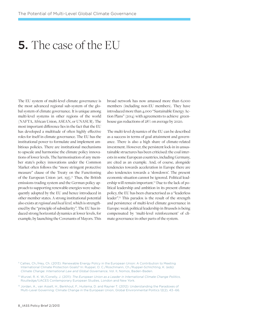#### 5. The case of the EU

The EU system of multi-level climate governance is the most advanced regional sub-system of the global system of climate governance. It is unique among multi-level systems in other regions of the world (NAFTA, African Union, ASEAN, or UNASUR). The most important difference lies in the fact that the EU has developed a multitude of often highly effective roles for itself in climate governance. The EU has the institutional power to formulate and implement ambitious policies. There are institutional mechanisms to upscale and harmonise the climate policy innovations of lower levels. The harmonisation of any member state's policy innovations under the Common Market often follows the "more stringent protective measure" clause of the Treaty on the Functioning of the European Union (art.  $193$ ).<sup>11</sup> Thus, the British emissions trading system and the German policy approach to supporting renewable energies were subsequently adopted by the EU and hence introduced in other member states. A strong institutional potential also exists at *regional and local level*, which is strengthened by the "principle of subsidiarity". The EU has induced strong horizontal dynamics at lower levels, for example, by launching the Covenants of Mayors. This

broad network has now amassed more than 6,000 members (including non-EU members). They have introduced more than 4,000 "Sustainable Energy Action Plans" (2014) with agreements to achieve greenhouse gas reductions of 28 % on average by 2020.

The multi-level dynamics of the EU can be described as a success in terms of goal attainment and governance. There is also a high share of climate-related investment. However, the persistent lock-in in unsustainable structures has been criticised: the coal interests in some European countries, including Germany, are cited as an example. And, of course, alongside tendencies towards acceleration in Europe there are also tendencies towards a 'slowdown'. The present economic situation cannot be ignored. Political leadership will remain important.12 Due to the lack of political leadership and ambition in its present climate policy, the EU has been characterised as a "leaderless leader".13 This paradox is the result of the strength and persistence of multi-level climate governance in Europe: weak political leadership in Brussels is being compensated by 'multi-level reinforcement' of climate governance in other parts of the system.

<sup>11</sup> Callies, Ch./Hey, Ch. (2013): Renewable Energy Policy in the European Union: A Contribution to Meeting International Climate Protection Goals? In: Ruppel, O. C./Roschmann, Ch./Ruppel-Schlichting, K. (eds): *Climate Change: International Law and Global Governance*, Vol. II, Nomos, Baden-Baden.

<sup>12</sup> Wurzel, R. K. W./Conelly, J. (2011): *The European Union as a Leader in International Climate Change Politics*, Routledge/UACES Contemporary European Studies, London and New York.

<sup>&</sup>lt;sup>13</sup> Jordan, A., van Asselt, H., Berkhout, F., Huitema, D. and Rayner T. (2012): Understanding the Paradoxes of Multi-Level Governing: Climate Change in the European Union, Global Environmental Politics 12(2), 43–66.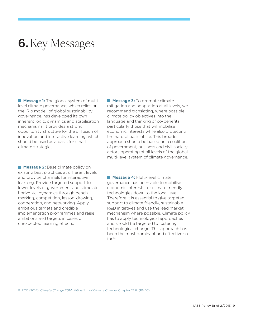#### **6.** Key Messages

**Message 1:** The global system of multilevel climate governance, which relies on the 'Rio model' of global sustainability governance, has developed its own inherent logic, dynamics and stabilisation mechanisms. It provides a strong opportunity structure for the diffusion of innovation and interactive learning, which should be used as a basis for smart climate strategies.

**Message 2:** Base climate policy on existing best practices at different levels and provide channels for interactive learning. Provide targeted support to lower levels of government and stimulate horizontal dynamics through benchmarking, competition, lesson-drawing, cooperation, and networking. Apply ambitious targets and credible implementation programmes and raise ambitions and targets in cases of unexpected learning effects.

**Message 3:** To promote climate mitigation and adaptation at all levels, we recommend translating, where possible, climate policy objectives into the language and thinking of co-benefits, particularly those that will mobilise economic interests while also protecting the natural basis of life. This broader approach should be based on a coalition of government, business and civil society actors operating at all levels of the global multi-level system of climate governance.

**Message 4: Multi-level climate** governance has been able to mobilise economic interests for climate friendly technologies down to the local level. Therefore it is essential to give targeted support to climate friendly, sustainable R&D initiatives and use the lead market mechanism where possible. Climate policy has to apply technological approaches and should be targeted to fostering technological change. This approach has been the most dominant and effective so far.14

14 IPCC (2014): *Climate Change 2014: Mitigation of Climate Change*, Chapter 15.6. (FN 10).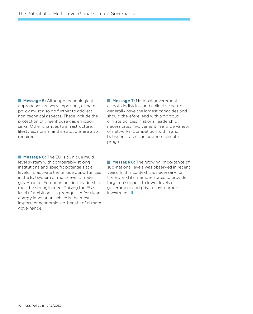**Message 5:** Although technological approaches are very important, climate policy must also go further to address non-technical aspects. These include the protection of greenhouse gas emission sinks. Other changes to infrastructure, lifestyles, norms, and institutions are also required.

**Message 7: National governments** as both individual and collective actors – generally have the largest capacities and should therefore lead with ambitious climate policies. National leadership necessitates involvement in a wide variety of networks. Competition within and between states can promote climate progress.

**Message 6:** The EU is a unique multilevel system with comparably strong institutions and specific potentials at all levels. To activate the unique opportunities in the EU system of multi-level climate governance, European political leadership must be strengthened. Raising the EU's level of ambition is a prerequisite for clean energy innovation, which is the most important economic co-benefit of climate governance.

**Message 8:** The growing importance of sub-national levels was observed in recent years. In this context it is necessary for the EU and its member states to provide targeted support to lower levels of government and private low-carbon investment.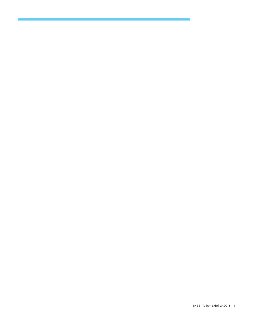IASS Policy Brief 2/2013\_11